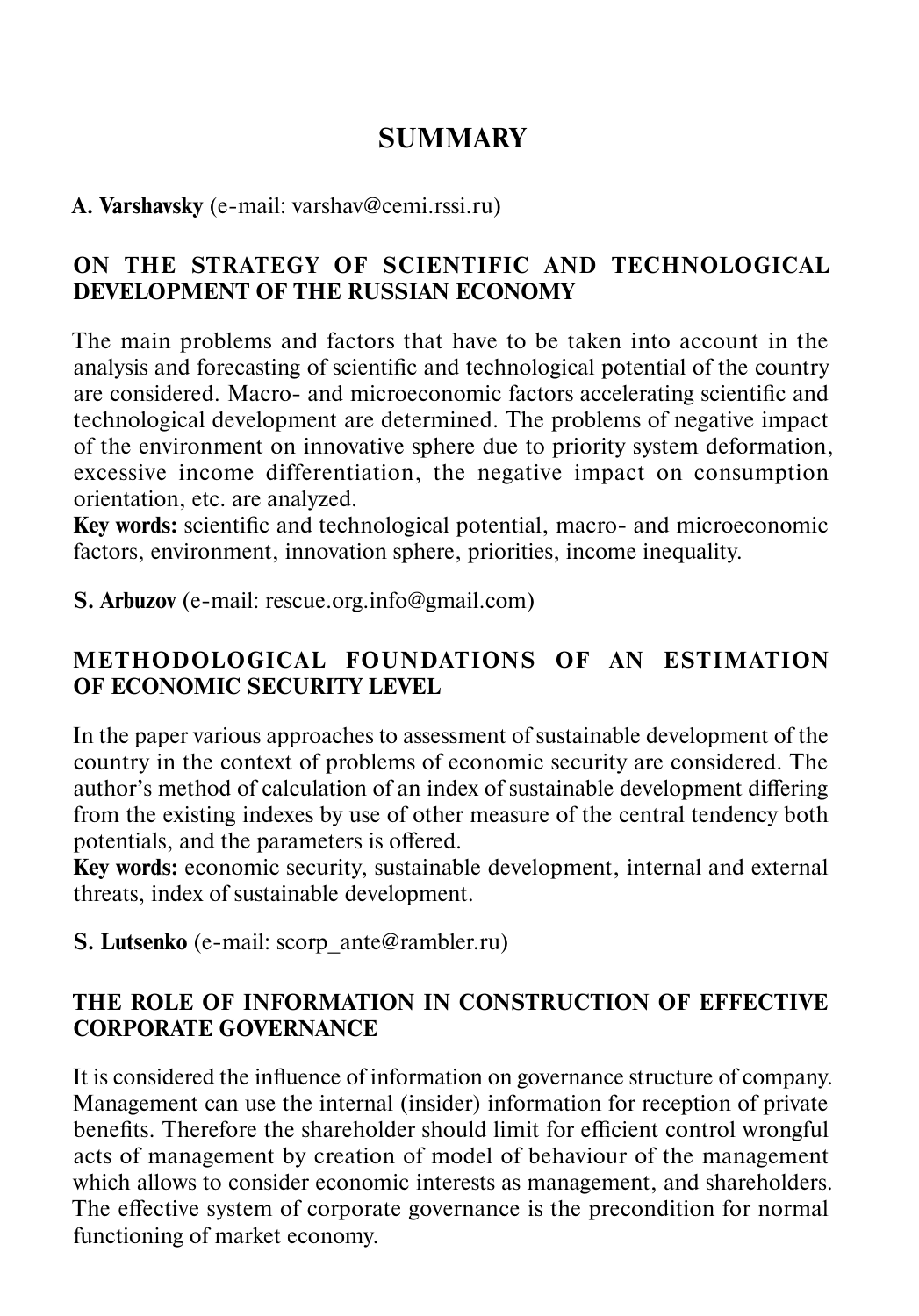# **SUMMARY**

#### **A. Varshavsky** (e-mail: varshav@cemi.rssi.ru)

### **ON THE STRATEGY OF SCIENTIFIC AND TECHNOLOGICAL DEVELOPMENT OF THE RUSSIAN ECONOMY**

The main problems and factors that have to be taken into account in the analysis and forecasting of scientific and technological potential of the country are considered. Macro- and microeconomic factors accelerating scientific and technological development are determined. The problems of negative impact of the environment on innovative sphere due to priority system deformation, excessive income differentiation, the negative impact on consumption orientation, etc. are analyzed.

**Key words:** scientific and technological potential, macro- and microeconomic factors, environment, innovation sphere, priorities, income inequality.

**S. Arbuzov** (е-mail: rescue.org.info@gmail.com)

## **METHODOLOGICAL FOUNDATIONS OF AN ESTIMATION OF ECONOMIC SECURITY LEVEL**

In the paper various approaches to assessment of sustainable development of the country in the context of problems of economic security are considered. The author's method of calculation of an index of sustainable development differing from the existing indexes by use of other measure of the central tendency both potentials, and the parameters is offered.

**Key words:** economic security, sustainable development, internal and external threats, index of sustainable development.

**S. Lutsenko** (e-mail: scorp\_ante@rambler.ru)

### **THE ROLE OF INFORMATION IN CONSTRUCTION OF EFFECTIVE CORPORATE GOVERNANCE**

It is considered the influence of information on governance structure of company. Management can use the internal (insider) information for reception of private benefits. Therefore the shareholder should limit for efficient control wrongful acts of management by creation of model of behaviour of the management which allows to consider economic interests as management, and shareholders. The effective system of corporate governance is the precondition for normal functioning of market economy.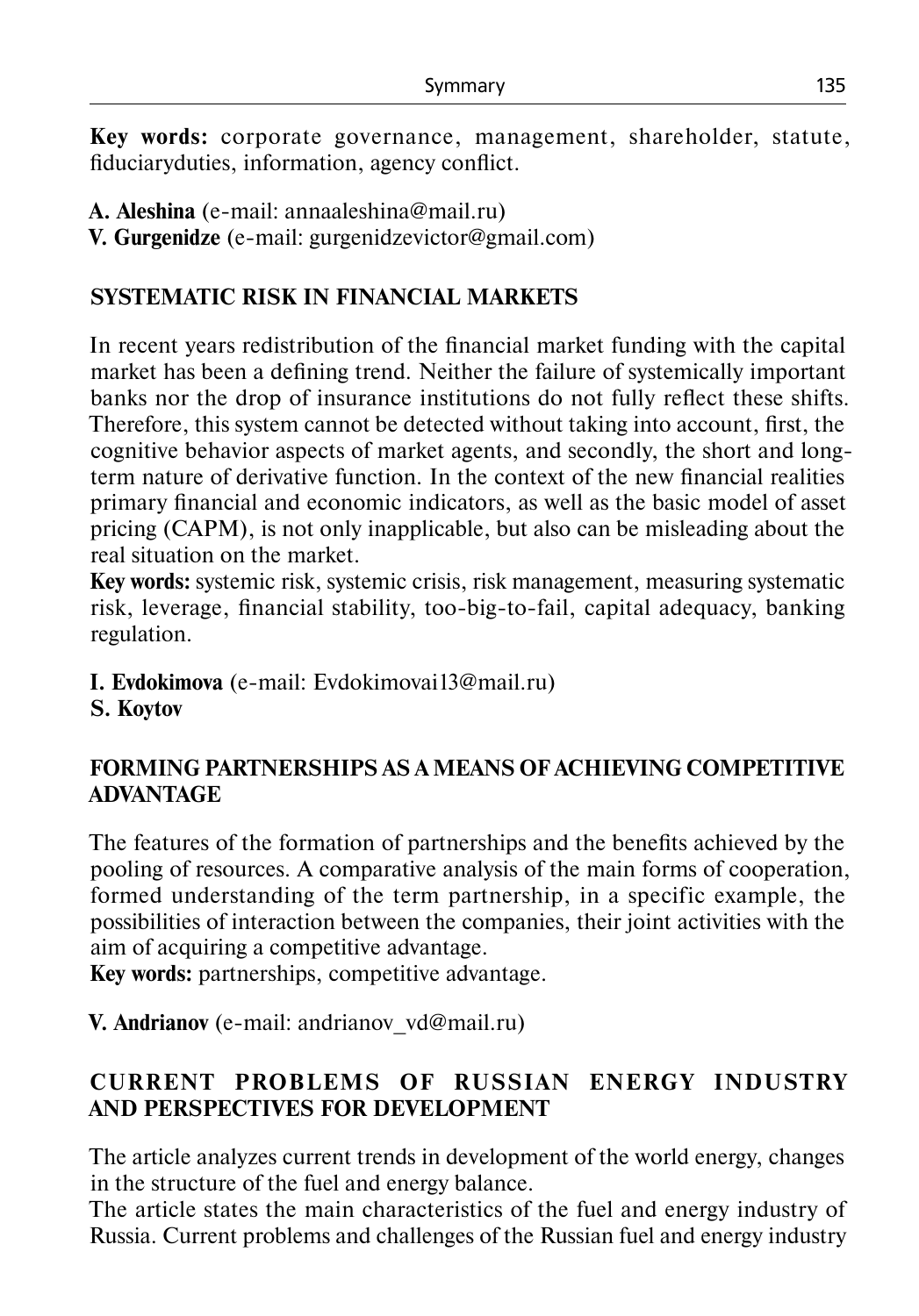**Key words:** corporate governance, management, shareholder, statute, fiduciaryduties, information, agency conflict.

**А. Aleshina** (e-mail: annaaleshina@mail.ru)

**V. Gurgenidze** (e-mail: gurgenidzevictor@gmail.com)

# **SYSTEMATIC RISK IN FINANCIAL MARKETS**

In recent years redistribution of the financial market funding with the capital market has been a defining trend. Neither the failure of systemically important banks nor the drop of insurance institutions do not fully reflect these shifts. Therefore, this system cannot be detected without taking into account, first, the cognitive behavior aspects of market agents, and secondly, the short and longterm nature of derivative function. In the context of the new financial realities primary financial and economic indicators, as well as the basic model of asset pricing (CAPM), is not only inapplicable, but also can be misleading about the real situation on the market.

**Key words:** systemic risk, systemic crisis, risk management, measuring systematic risk, leverage, financial stability, too-big-to-fail, capital adequacy, banking regulation.

**I. Evdokimova** (e-mail: Evdokimovai13@mail.ru)

# **S. Koytov**

## **FORMING PARTNERSHIPS AS A MEANS OF ACHIEVING COMPETITIVE ADVANTAGE**

The features of the formation of partnerships and the benefits achieved by the pooling of resources. A comparative analysis of the main forms of cooperation, formed understanding of the term partnership, in a specific example, the possibilities of interaction between the companies, their joint activities with the aim of acquiring a competitive advantage.

**Key words:** partnerships, competitive advantage.

**V. Andrianov** (e-mail: andrianov\_vd@mail.ru)

# **CURRENT PROBLEMS OF RUSSIAN ENERGY INDUSTRY AND PERSPECTIVES FOR DEVELOPMENT**

The article analyzes current trends in development of the world energy, changes in the structure of the fuel and energy balance.

The article states the main characteristics of the fuel and energy industry of Russia. Current problems and challenges of the Russian fuel and energy industry